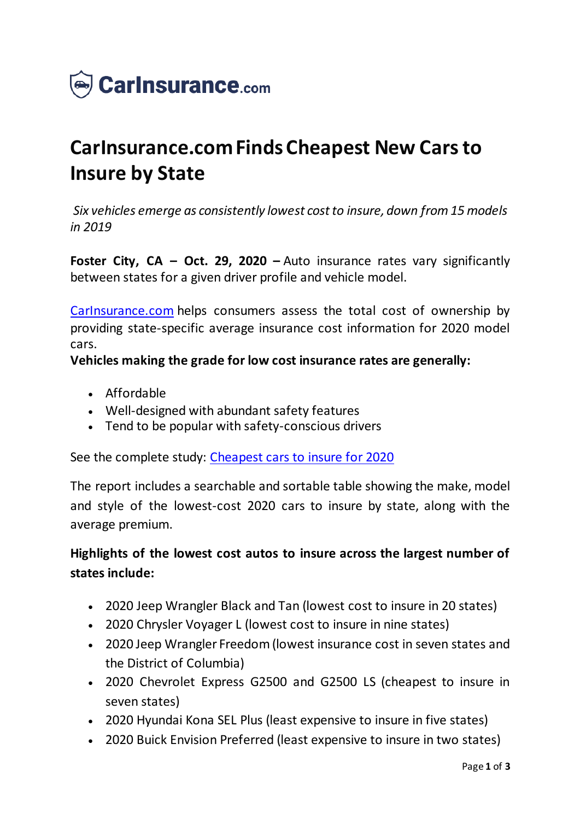

# **CarInsurance.com Finds Cheapest New Cars to Insure by State**

*Six vehicles emerge as consistently lowest cost to insure, down from 15 models in 2019*

**Foster City, CA – Oct. 29, 2020 –** Auto insurance rates vary significantly between states for a given driver profile and vehicle model.

[CarInsurance.com](https://www.carinsurance.com/) helps consumers assess the total cost of ownership by providing state-specific average insurance cost information for 2020 model cars.

### **Vehicles making the grade for low cost insurance rates are generally:**

- Affordable
- Well-designed with abundant safety features
- Tend to be popular with safety-conscious drivers

See the complete study: [Cheapest cars to insure for 2020](https://www.carinsurance.com/cheapest-cars-to-insure.aspx)

The report includes a searchable and sortable table showing the make, model and style of the lowest-cost 2020 cars to insure by state, along with the average premium.

## **Highlights of the lowest cost autos to insure across the largest number of states include:**

- 2020 Jeep Wrangler Black and Tan (lowest cost to insure in 20 states)
- 2020 Chrysler Voyager L (lowest cost to insure in nine states)
- 2020 Jeep Wrangler Freedom (lowest insurance cost in seven states and the District of Columbia)
- 2020 Chevrolet Express G2500 and G2500 LS (cheapest to insure in seven states)
- 2020 Hyundai Kona SEL Plus (least expensive to insure in five states)
- 2020 Buick Envision Preferred (least expensive to insure in two states)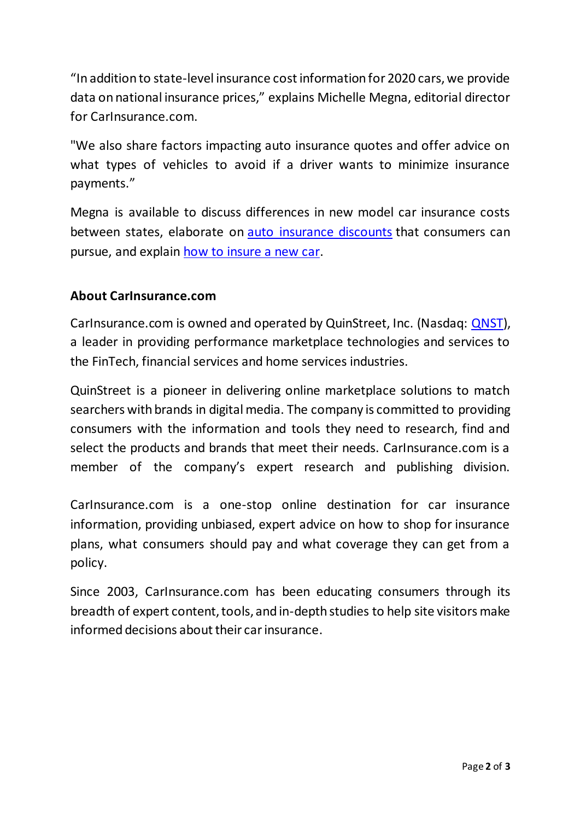"In addition to state-level insurance cost information for 2020 cars, we provide data on national insurance prices," explains Michelle Megna, editorial director for CarInsurance.com.

"We also share factors impacting auto insurance quotes and offer advice on what types of vehicles to avoid if a driver wants to minimize insurance payments."

Megna is available to discuss differences in new model car insurance costs between states, elaborate on [auto insurance discounts](https://www.carinsurance.com/discounts.aspx) that consumers can pursue, and explain [how to insure a new car](https://www.carinsurance.com/Articles/how-to-insure-a-new-car.aspx).

## **About CarInsurance.com**

CarInsurance.com is owned and operated by QuinStreet, Inc. (Nasdaq: [QNST\)](https://www.nasdaq.com/market-activity/stocks/qnst), a leader in providing performance marketplace technologies and services to the FinTech, financial services and home services industries.

QuinStreet is a pioneer in delivering online marketplace solutions to match searchers with brands in digital media. The company is committed to providing consumers with the information and tools they need to research, find and select the products and brands that meet their needs. CarInsurance.com is a member of the company's expert research and publishing division.

CarInsurance.com is a one-stop online destination for car insurance information, providing unbiased, expert advice on how to shop for insurance plans, what consumers should pay and what coverage they can get from a policy.

Since 2003, CarInsurance.com has been educating consumers through its breadth of expert content, tools, and in-depth studies to help site visitors make informed decisions about their car insurance.